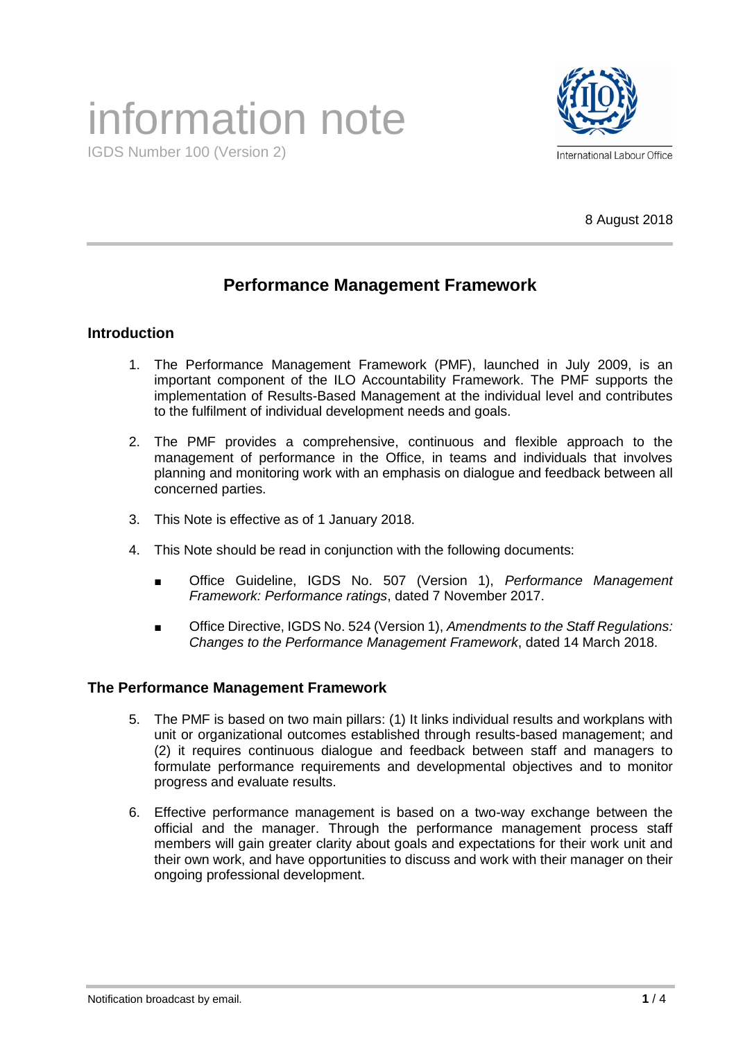# information note



IGDS Number 100 (Version 2)

8 August 2018

# **Performance Management Framework**

# **Introduction**

- 1. The Performance Management Framework (PMF), launched in July 2009, is an important component of the ILO Accountability Framework. The PMF supports the implementation of Results-Based Management at the individual level and contributes to the fulfilment of individual development needs and goals.
- 2. The PMF provides a comprehensive, continuous and flexible approach to the management of performance in the Office, in teams and individuals that involves planning and monitoring work with an emphasis on dialogue and feedback between all concerned parties.
- 3. This Note is effective as of 1 January 2018.
- 4. This Note should be read in conjunction with the following documents:
	- Office Guideline, IGDS No. 507 (Version 1), *Performance Management Framework: Performance ratings*, dated 7 November 2017.
	- Office Directive, IGDS No. 524 (Version 1), *Amendments to the Staff Regulations: Changes to the Performance Management Framework*, dated 14 March 2018.

# **The Performance Management Framework**

- 5. The PMF is based on two main pillars: (1) It links individual results and workplans with unit or organizational outcomes established through results-based management; and (2) it requires continuous dialogue and feedback between staff and managers to formulate performance requirements and developmental objectives and to monitor progress and evaluate results.
- 6. Effective performance management is based on a two-way exchange between the official and the manager. Through the performance management process staff members will gain greater clarity about goals and expectations for their work unit and their own work, and have opportunities to discuss and work with their manager on their ongoing professional development.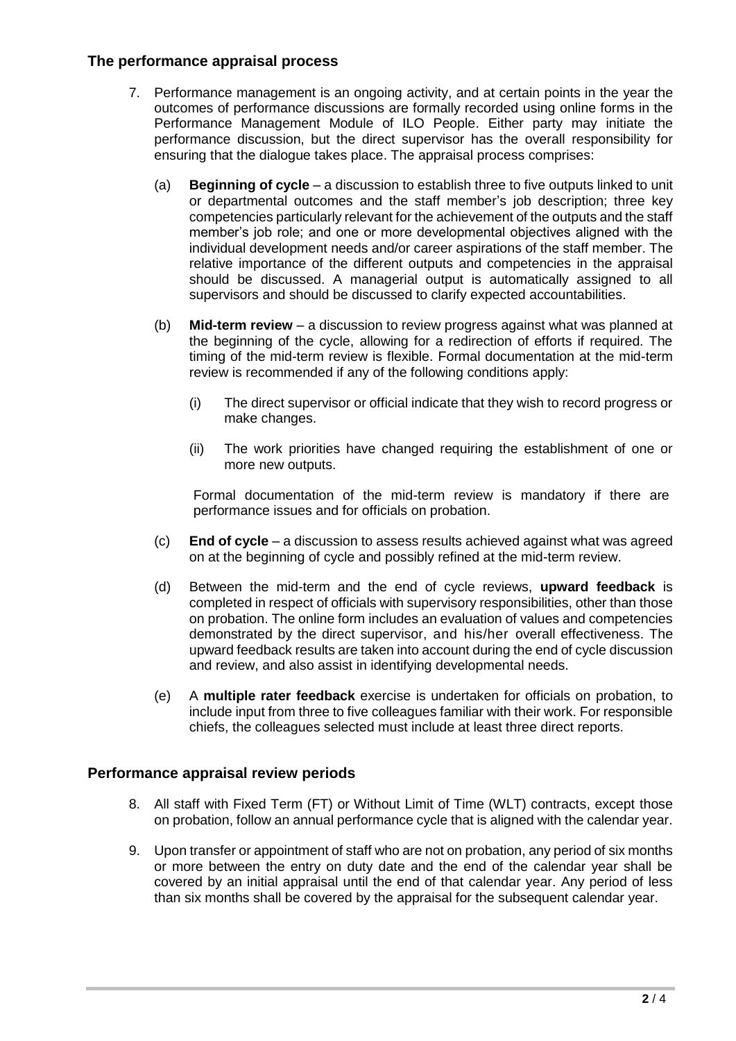#### **The performance appraisal process**

- 7. Performance management is an ongoing activity, and at certain points in the year the outcomes of performance discussions are formally recorded using online forms in the Performance Management Module of ILO People. Either party may initiate the performance discussion, but the direct supervisor has the overall responsibility for ensuring that the dialogue takes place. The appraisal process comprises:
	- (a) **Beginning of cycle**  a discussion to establish three to five outputs linked to unit or departmental outcomes and the staff member's job description; three key competencies particularly relevant for the achievement of the outputs and the staff member's job role; and one or more developmental objectives aligned with the individual development needs and/or career aspirations of the staff member. The relative importance of the different outputs and competencies in the appraisal should be discussed. A managerial output is automatically assigned to all supervisors and should be discussed to clarify expected accountabilities.
	- (b) **Mid-term review**  a discussion to review progress against what was planned at the beginning of the cycle, allowing for a redirection of efforts if required. The timing of the mid-term review is flexible. Formal documentation at the mid-term review is recommended if any of the following conditions apply:
		- (i) The direct supervisor or official indicate that they wish to record progress or make changes.
		- (ii) The work priorities have changed requiring the establishment of one or more new outputs.

Formal documentation of the mid-term review is mandatory if there are performance issues and for officials on probation.

- (c) **End of cycle**  a discussion to assess results achieved against what was agreed on at the beginning of cycle and possibly refined at the mid-term review.
- (d) Between the mid-term and the end of cycle reviews, **upward feedback** is completed in respect of officials with supervisory responsibilities, other than those on probation. The online form includes an evaluation of values and competencies demonstrated by the direct supervisor, and his/her overall effectiveness. The upward feedback results are taken into account during the end of cycle discussion and review, and also assist in identifying developmental needs.
- (e) A **multiple rater feedback** exercise is undertaken for officials on probation, to include input from three to five colleagues familiar with their work. For responsible chiefs, the colleagues selected must include at least three direct reports.

# **Performance appraisal review periods**

- 8. All staff with Fixed Term (FT) or Without Limit of Time (WLT) contracts, except those on probation, follow an annual performance cycle that is aligned with the calendar year.
- 9. Upon transfer or appointment of staff who are not on probation, any period of six months or more between the entry on duty date and the end of the calendar year shall be covered by an initial appraisal until the end of that calendar year. Any period of less than six months shall be covered by the appraisal for the subsequent calendar year.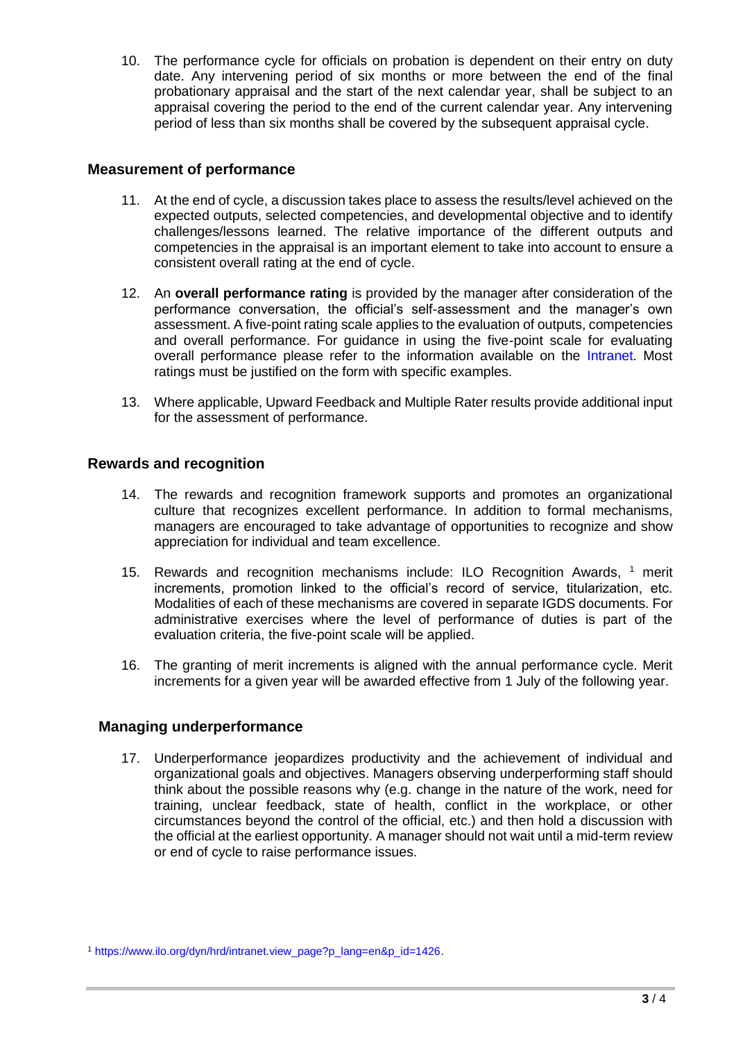10. The performance cycle for officials on probation is dependent on their entry on duty date. Any intervening period of six months or more between the end of the final probationary appraisal and the start of the next calendar year, shall be subject to an appraisal covering the period to the end of the current calendar year. Any intervening period of less than six months shall be covered by the subsequent appraisal cycle.

#### **Measurement of performance**

- 11. At the end of cycle, a discussion takes place to assess the results/level achieved on the expected outputs, selected competencies, and developmental objective and to identify challenges/lessons learned. The relative importance of the different outputs and competencies in the appraisal is an important element to take into account to ensure a consistent overall rating at the end of cycle.
- 12. An **overall performance rating** is provided by the manager after consideration of the performance conversation, the official's self-assessment and the manager's own assessment. A five-point rating scale applies to the evaluation of outputs, competencies and overall performance. For guidance in using the five-point scale for evaluating overall performance please refer to the information available on the [Intranet.](http://www.ilo.org/dyn/hrd/intranet.file_open?p_reference_id=3681) Most ratings must be justified on the form with specific examples.
- 13. Where applicable, Upward Feedback and Multiple Rater results provide additional input for the assessment of performance.

#### **Rewards and recognition**

- 14. The rewards and recognition framework supports and promotes an organizational culture that recognizes excellent performance. In addition to formal mechanisms, managers are encouraged to take advantage of opportunities to recognize and show appreciation for individual and team excellence.
- 15. Rewards and recognition mechanisms include: ILO Recognition Awards, <sup>1</sup> merit increments, promotion linked to the official's record of service, titularization, etc. Modalities of each of these mechanisms are covered in separate IGDS documents. For administrative exercises where the level of performance of duties is part of the evaluation criteria, the five-point scale will be applied.
- 16. The granting of merit increments is aligned with the annual performance cycle. Merit increments for a given year will be awarded effective from 1 July of the following year.

#### **Managing underperformance**

17. Underperformance jeopardizes productivity and the achievement of individual and organizational goals and objectives. Managers observing underperforming staff should think about the possible reasons why (e.g. change in the nature of the work, need for training, unclear feedback, state of health, conflict in the workplace, or other circumstances beyond the control of the official, etc.) and then hold a discussion with the official at the earliest opportunity. A manager should not wait until a mid-term review or end of cycle to raise performance issues.

<sup>1</sup> [https://www.ilo.org/dyn/hrd/intranet.view\\_page?p\\_lang=en&p\\_id=1426.](https://www.ilo.org/dyn/hrd/intranet.view_page?p_lang=en&p_id=1426)